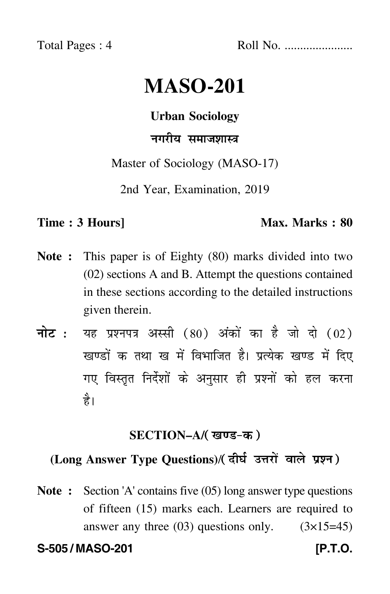Total Pages : 4 Roll No. ......................

# **MASO-201**

#### **Urban Sociology**

## नगरीय समाजशास्त्र

Master of Sociology (MASO-17)

2nd Year, Examination, 2019

#### **Time : 3 Hours]** Max. Marks : 80

- **Note :** This paper is of Eighty (80) marks divided into two (02) sections A and B. Attempt the questions contained in these sections according to the detailed instructions given therein.
- नोट : यह प्रश्नपत्र अस्सी (80) अंकों का है जो दो (02) खण्डों क तथा ख में विभाजित है। प्रत्येक खण्ड में दिए गए विस्तृत निर्देशों के अनुसार ही प्रश्नों को हल करन<mark>ा</mark> है।

#### **SECTION–A/**

# **(Long Answer Type Questions)**/

**Note :** Section 'A' contains five (05) long answer type questions of fifteen (15) marks each. Learners are required to answer any three  $(03)$  questions only.  $(3\times15=45)$ 

**S-505 / MASO-201 [P.T.O.**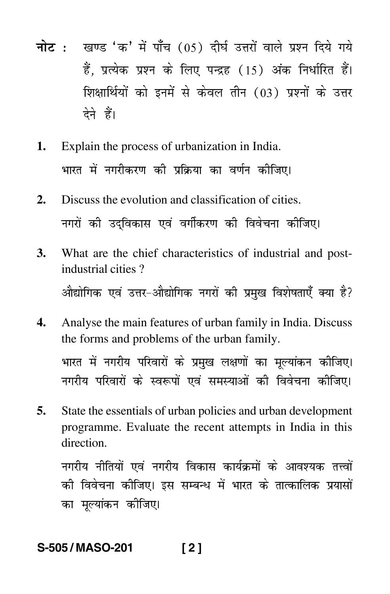- <mark>नोट</mark> : खण्ड 'क' में पाँच (05) दीर्घ उत्तरों वाले प्रश्न दिये गये हैं, प्रत्येक प्रश्न के लिए पन्द्रह (15) अंक निर्धारित हैं। शिक्षार्थियों को इनमें से केवल तीन (03) प्रश्नों के उत्तर देने हैं।
- **1.** Explain the process of urbanization in India. भारत में नगरीकरण की प्रक्रिया का वर्णन कीजिए। -
- **2.** Discuss the evolution and classification of cities. नगरों की उद्विकास एवं वर्गीकरण की विवेचना कीजिए।
- **3.** What are the chief characteristics of industrial and postindustrial cities ? औद्योगिक एवं उत्तर–औद्योगिक नगरों की प्रमुख विशेषताएँ क्या है?
- **4.** Analyse the main features of urban family in India. Discuss the forms and problems of the urban family. भारत में नगरीय परिवारों के प्रमुख लक्षणों का मूल्यांकन कीजिए। --नगरीय परिवारों के स्वरूपों एवं समस्याओं की विवेचना कीजिए।
- **5.** State the essentials of urban policies and urban development programme. Evaluate the recent attempts in India in this direction.

नगरीय नीतियों एवं नगरीय विकास कार्यक्रमों के आवश्यक तत्त्वों को विवेचना कोजिए। इस सम्बन्ध में भारत के तात्कालिक प्रयासों -का मूल्यांकन कीजिए।

### **S-505 / MASO-201 [ 2 ]**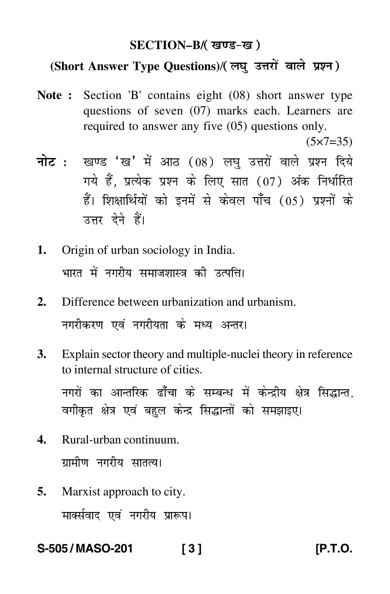#### **SECTION–B/**

### **(Short Answer Type Questions)**/

- **Note :** Section 'B' contains eight (08) short answer type questions of seven (07) marks each. Learners are required to answer any five (05) questions only.
	- $(5 \times 7 = 35)$
- <mark>नोट</mark> : खण्ड 'ख' में आठ (08) लघु उत्तरों वाले प्रश्न दिये गये हैं, प्रत्येक प्रश्न के लिए सात (07) अंक निर्धारित हैं। शिक्षार्थियों को इनमें से केवल पाँच (05) प्रश्नों के उत्तर देने हैं।
- **1.** Origin of urban sociology in India. भारत में नगरीय समाजशास्त्र की उत्पत्ति। --
- **2.** Difference between urbanization and urbanism. नगरीकरण एवं नगरीयता के मध्य अन्तर।
- **3.** Explain sector theory and multiple-nuclei theory in reference to internal structure of cities. नगरों का आन्तरिक ढाँँचा के सम्बन्ध में केन्द्रीय क्षेत्र सिद्धान्त,

वगीकृत क्षेत्र एवं बहुल केन्द्र सिद्धान्तों को समझाइए।

- **4.** Rural-urban continuum. ग्रामीण नगरीय सातत्य। -
- **5.** Marxist approach to city. मार्क्सवाद एवं नगरीय प्रारूप।

**S-505 / MASO-201 [ 3 ] [P.T.O.**